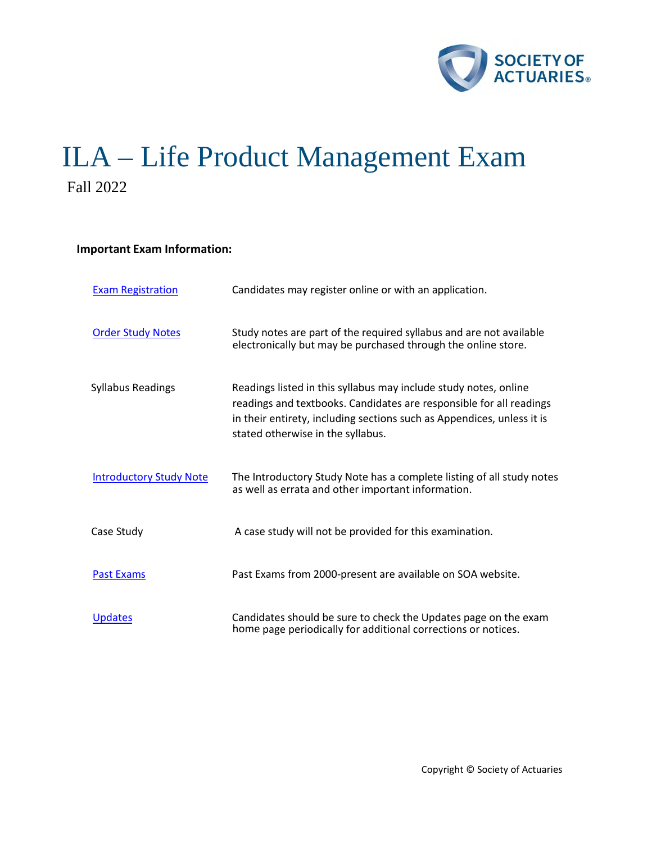

# ILA – Life Product Management Exam Fall 2022

# **Important Exam Information:**

| <b>Exam Registration</b>       | Candidates may register online or with an application.                                                                                                                                                                                                 |
|--------------------------------|--------------------------------------------------------------------------------------------------------------------------------------------------------------------------------------------------------------------------------------------------------|
| <b>Order Study Notes</b>       | Study notes are part of the required syllabus and are not available<br>electronically but may be purchased through the online store.                                                                                                                   |
| <b>Syllabus Readings</b>       | Readings listed in this syllabus may include study notes, online<br>readings and textbooks. Candidates are responsible for all readings<br>in their entirety, including sections such as Appendices, unless it is<br>stated otherwise in the syllabus. |
| <b>Introductory Study Note</b> | The Introductory Study Note has a complete listing of all study notes<br>as well as errata and other important information.                                                                                                                            |
| Case Study                     | A case study will not be provided for this examination.                                                                                                                                                                                                |
| <b>Past Exams</b>              | Past Exams from 2000-present are available on SOA website.                                                                                                                                                                                             |
| <b>Updates</b>                 | Candidates should be sure to check the Updates page on the exam<br>home page periodically for additional corrections or notices.                                                                                                                       |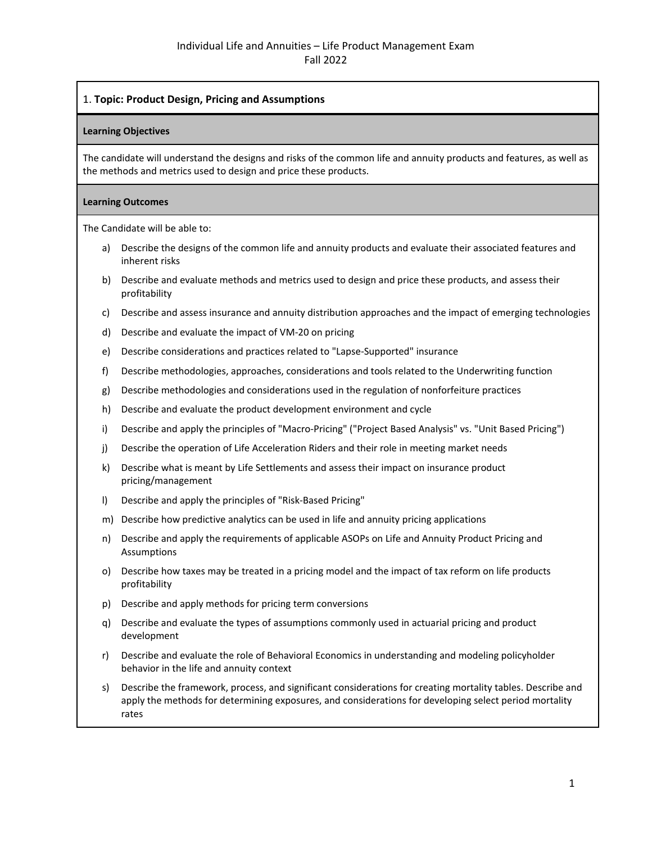# 1. **Topic: Product Design, Pricing and Assumptions**

## **Learning Objectives**

The candidate will understand the designs and risks of the common life and annuity products and features, as well as the methods and metrics used to design and price these products.

#### **Learning Outcomes**

The Candidate will be able to:

- a) Describe the designs of the common life and annuity products and evaluate their associated features and inherent risks
- b) Describe and evaluate methods and metrics used to design and price these products, and assess their profitability
- c) Describe and assess insurance and annuity distribution approaches and the impact of emerging technologies
- d) Describe and evaluate the impact of VM-20 on pricing
- e) Describe considerations and practices related to "Lapse-Supported" insurance
- f) Describe methodologies, approaches, considerations and tools related to the Underwriting function
- g) Describe methodologies and considerations used in the regulation of nonforfeiture practices
- h) Describe and evaluate the product development environment and cycle
- i) Describe and apply the principles of "Macro-Pricing" ("Project Based Analysis" vs. "Unit Based Pricing")
- j) Describe the operation of Life Acceleration Riders and their role in meeting market needs
- k) Describe what is meant by Life Settlements and assess their impact on insurance product pricing/management
- l) Describe and apply the principles of "Risk-Based Pricing"
- m) Describe how predictive analytics can be used in life and annuity pricing applications
- n) Describe and apply the requirements of applicable ASOPs on Life and Annuity Product Pricing and Assumptions
- o) Describe how taxes may be treated in a pricing model and the impact of tax reform on life products profitability
- p) Describe and apply methods for pricing term conversions
- q) Describe and evaluate the types of assumptions commonly used in actuarial pricing and product development
- r) Describe and evaluate the role of Behavioral Economics in understanding and modeling policyholder behavior in the life and annuity context
- s) Describe the framework, process, and significant considerations for creating mortality tables. Describe and apply the methods for determining exposures, and considerations for developing select period mortality rates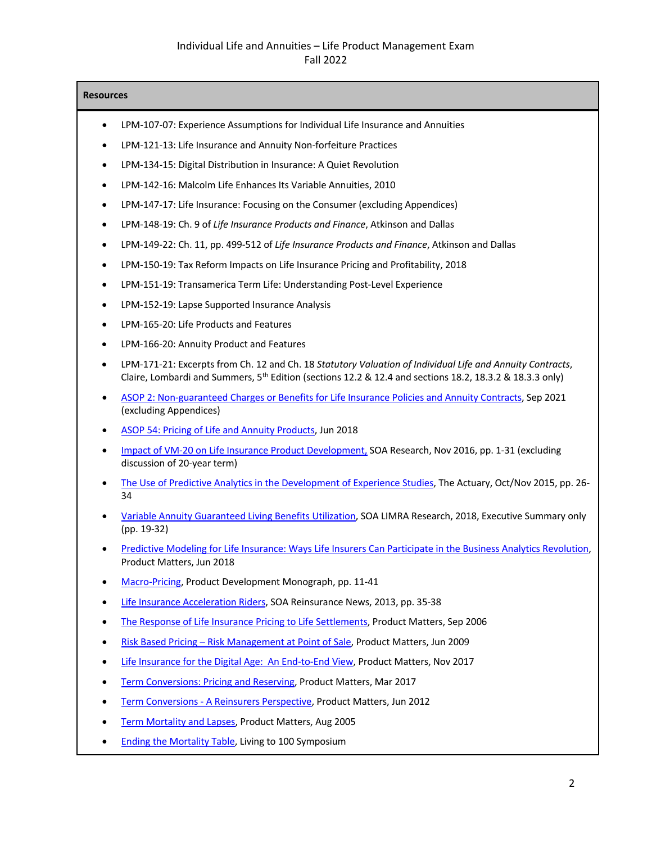# Individual Life and Annuities – Life Product Management Exam Fall 2022

- LPM-107-07: Experience Assumptions for Individual Life Insurance and Annuities
- LPM-121-13: Life Insurance and Annuity Non-forfeiture Practices
- LPM-134-15: Digital Distribution in Insurance: A Quiet Revolution
- LPM-142-16: Malcolm Life Enhances Its Variable Annuities, 2010
- LPM-147-17: Life Insurance: Focusing on the Consumer (excluding Appendices)
- LPM-148-19: Ch. 9 of *Life Insurance Products and Finance*, Atkinson and Dallas
- LPM-149-22: Ch. 11, pp. 499-512 of *Life Insurance Products and Finance*, Atkinson and Dallas
- LPM-150-19: Tax Reform Impacts on Life Insurance Pricing and Profitability, 2018
- LPM-151-19: Transamerica Term Life: Understanding Post-Level Experience
- LPM-152-19: Lapse Supported Insurance Analysis
- LPM-165-20: Life Products and Features
- LPM-166-20: Annuity Product and Features
- LPM-171-21: Excerpts from Ch. 12 and Ch. 18 *Statutory Valuation of Individual Life and Annuity Contracts*, Claire, Lombardi and Summers, 5<sup>th</sup> Edition (sections 12.2 & 12.4 and sections 18.2, 18.3.2 & 18.3.3 only)
- [ASOP 2: Non-guaranteed Charges or Benefits for Life Insurance Policies and Annuity Contracts,](http://www.actuarialstandardsboard.org/wp-content/uploads/2021/12/asop002_204-2.pdf) Sep 2021 (excluding Appendices)
- [ASOP 54: Pricing of Life and Annuity Products,](http://www.actuarialstandardsboard.org/wp-content/uploads/2018/07/asop054_193.pdf) Jun 2018
- [Impact of VM-20 on Life Insurance Product Development,](https://www.soa.org/globalassets/assets/Files/Research/Projects/2016-impact-vm20-life-insurance-product.pdf) SOA Research, Nov 2016, pp. 1-31 (excluding discussion of 20-year term)
- [The Use of Predictive Analytics in the Development of Experience Studies,](https://www.soa.org/globalassets/assets/library/newsletters/the-actuary-magazine/2015/october/act-2015-vol12-iss4-fenton-lombardo.pdf) The Actuary, Oct/Nov 2015, pp. 26- 34
- [Variable Annuity Guaranteed Living Benefits Utilization,](https://www.soa.org/globalassets/assets/Files/resources/research-report/2018/variable-annuity-guaranteed-utilization.pdf) SOA LIMRA Research, 2018, Executive Summary only (pp. 19-32)
- [Predictive Modeling for Life Insurance: Ways Life Insurers Can Participate in the Business Analytics Revolution,](https://www.soa.org/globalassets/assets/library/newsletters/product-development-news/2018/june/pro-2018-iss110-stehno-guszcza.pdf) Product Matters, Jun 2018
- [Macro-Pricing,](https://www.soa.org/globalassets/assets/Files/Edu/edu-2012-c16-1.pdf) Product Development Monograph, pp. 11-41
- [Life Insurance Acceleration Riders,](https://www.soa.org/globalassets/assets/Library/Newsletters/Reinsurance-Section-News/2013/july/rsn-2013-issue76.pdf) SOA Reinsurance News, 2013, pp. 35-38
- [The Response of Life Insurance Pricing to Life Settlements,](https://www.soa.org/globalassets/assets/library/newsletters/product-development-news/2006/september/pdn0609.pdf) Product Matters, Sep 2006
- [Risk Based Pricing Risk Management at Point of Sale,](https://www.soa.org/globalassets/assets/library/newsletters/product-development-news/2009/june/pro-2009-iss-74-lebel-risk.pdf) Product Matters, Jun 2009
- [Life Insurance for the Digital Age: An End-to-End View,](https://www.soa.org/globalassets/assets/Library/Newsletters/Product-Development-News/2017/november/pro-2017-iss108-nayak-abrokwah.pdf) Product Matters, Nov 2017
- [Term Conversions: Pricing and Reserving,](https://www.soa.org/globalassets/assets/Library/Newsletters/Product-Development-News/2017/pro-2017-iss106.pdf) Product Matters, Mar 2017
- [Term Conversions A Reinsurers Perspective,](https://www.soa.org/globalassets/assets/Library/Newsletters/Product-Development-News/2012/june/pro-2012-iss83-zajac.pdf) Product Matters, Jun 2012
- [Term Mortality and Lapses,](https://www.soa.org/globalassets/assets/library/newsletters/product-development-news/2005/august/pdn-2005-iss62-dukes.pdf) Product Matters, Aug 2005
- [Ending the Mortality Table,](https://www.soa.org/globalassets/assets/files/resources/essays-monographs/2005-living-to-100/m-li05-1-ix.pdf) Living to 100 Symposium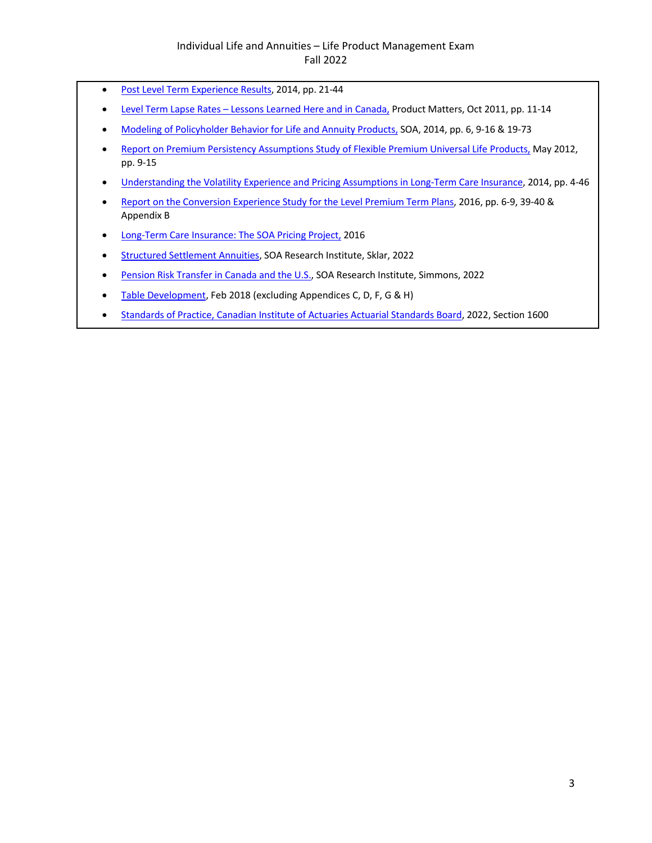- [Post Level Term Experience](http://www.acsw.us/spring14/kueker.pdf) Results, 2014, pp. 21-44
- [Level Term Lapse Rates Lessons Learned Here and in Canada,](https://www.soa.org/globalassets/assets/library/newsletters/product-development-news/2011/october/pro-2011-iss81.pdf) Product Matters, Oct 2011, pp. 11-14
- [Modeling of Policyholder Behavior for Life and Annuity Products,](https://www.soa.org/globalassets/assets/Files/Research/Projects/research-2014-modeling-policy.pdf) SOA, 2014, pp. 6, 9-16 & 19-73
- [Report on Premium Persistency Assumptions Study of Flexible Premium Universal Life Products,](https://www.soa.org/globalassets/assets/files/research/projects/research-premium-persist-assump-report.pdf) May 2012, pp. 9-15
- [Understanding the Volatility Experience and Pricing Assumptions in Long-Term Care Insurance,](https://www.soa.org/globalassets/assets/files/research/projects/research-2014-understanding-volatility.pdf) 2014, pp. 4-46
- [Report on the Conversion Experience Study for the Level Premium Term Plans,](https://www.soa.org/globalassets/assets/Files/Research/research-2016-06-conversion-mortality-study.pdf) 2016, pp. 6-9, 39-40 & Appendix B
- [Long-Term Care Insurance: The SOA Pricing Project,](https://www.soa.org/globalassets/assets/files/static-pages/sections/long-term-care/ltc-pricing-project.pdf) 2016
- [Structured Settlement Annuities,](https://www.soa.org/globalassets/assets/files/resources/research-report/2022/structured-settlements.pdf) SOA Research Institute, Sklar, 2022
- [Pension Risk Transfer in Canada and the U.S.,](https://www.soa.org/globalassets/assets/files/resources/research-report/2022/pension-risk-transfer.pdf) SOA Research Institute, Simmons, 2022
- [Table Development,](https://www.soa.org/globalassets/assets/Files/Research/table-development.pdf) Feb 2018 (excluding Appendices C, D, F, G & H)
- [Standards of Practice, Canadian Institute of Actuaries Actuarial Standards Board,](https://www.cia-ica.ca/docs/default-source/standards/sg010123e.pdf) 2022, Section 1600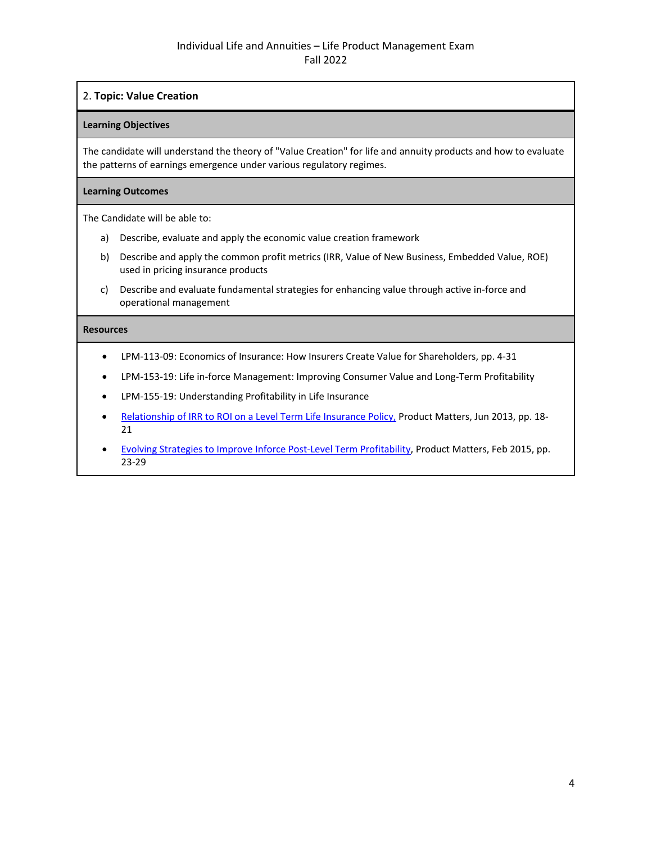# 2. **Topic: Value Creation**

# **Learning Objectives**

The candidate will understand the theory of "Value Creation" for life and annuity products and how to evaluate the patterns of earnings emergence under various regulatory regimes.

# **Learning Outcomes**

The Candidate will be able to:

- a) Describe, evaluate and apply the economic value creation framework
- b) Describe and apply the common profit metrics (IRR, Value of New Business, Embedded Value, ROE) used in pricing insurance products
- c) Describe and evaluate fundamental strategies for enhancing value through active in-force and operational management

- LPM-113-09: Economics of Insurance: How Insurers Create Value for Shareholders, pp. 4-31
- LPM-153-19: Life in-force Management: Improving Consumer Value and Long-Term Profitability
- LPM-155-19: Understanding Profitability in Life Insurance
- [Relationship of IRR to ROI on a Level Term Life Insurance Policy,](https://www.soa.org/globalassets/assets/library/newsletters/product-development-news/2013/june/pro-2013-iss86-stuenkel.pdf) Product Matters, Jun 2013, pp. 18-21
- [Evolving Strategies to Improve Inforce Post-Level Term Profitability,](https://www.soa.org/globalassets/assets/library/newsletters/product-development-news/2015/february/pro-2015-iss91-hrischenko.pdf) Product Matters, Feb 2015, pp. 23-29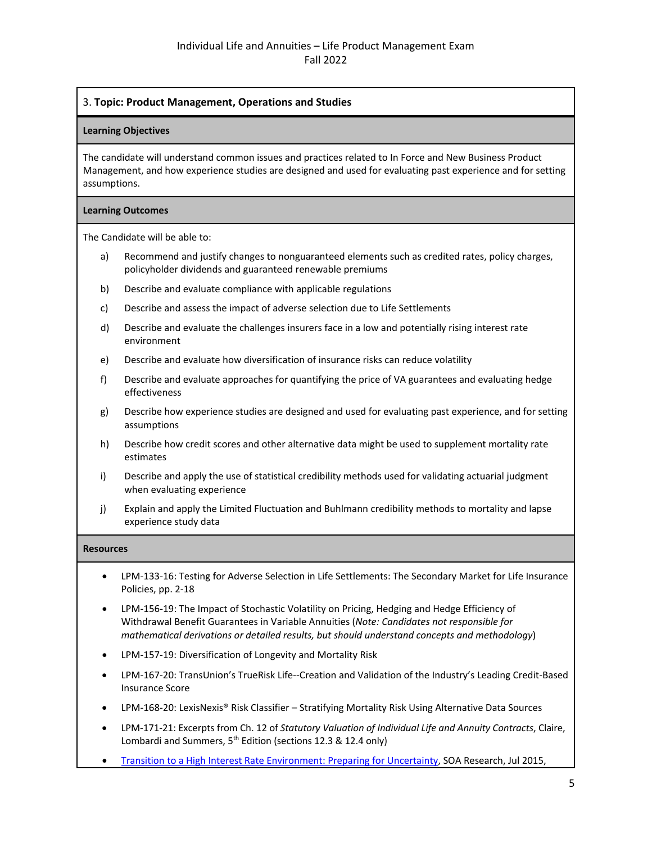# 3. **Topic: Product Management, Operations and Studies**

#### **Learning Objectives**

The candidate will understand common issues and practices related to In Force and New Business Product Management, and how experience studies are designed and used for evaluating past experience and for setting assumptions.

#### **Learning Outcomes**

The Candidate will be able to:

- a) Recommend and justify changes to nonguaranteed elements such as credited rates, policy charges, policyholder dividends and guaranteed renewable premiums
- b) Describe and evaluate compliance with applicable regulations
- c) Describe and assess the impact of adverse selection due to Life Settlements
- d) Describe and evaluate the challenges insurers face in a low and potentially rising interest rate environment
- e) Describe and evaluate how diversification of insurance risks can reduce volatility
- f) Describe and evaluate approaches for quantifying the price of VA guarantees and evaluating hedge effectiveness
- g) Describe how experience studies are designed and used for evaluating past experience, and for setting assumptions
- h) Describe how credit scores and other alternative data might be used to supplement mortality rate estimates
- i) Describe and apply the use of statistical credibility methods used for validating actuarial judgment when evaluating experience
- j) Explain and apply the Limited Fluctuation and Buhlmann credibility methods to mortality and lapse experience study data

- LPM-133-16: Testing for Adverse Selection in Life Settlements: The Secondary Market for Life Insurance Policies, pp. 2-18
- LPM-156-19: The Impact of Stochastic Volatility on Pricing, Hedging and Hedge Efficiency of Withdrawal Benefit Guarantees in Variable Annuities (*Note: Candidates not responsible for mathematical derivations or detailed results, but should understand concepts and methodology*)
- LPM-157-19: Diversification of Longevity and Mortality Risk
- LPM-167-20: TransUnion's TrueRisk Life--Creation and Validation of the Industry's Leading Credit-Based Insurance Score
- LPM-168-20: LexisNexis® Risk Classifier Stratifying Mortality Risk Using Alternative Data Sources
- LPM-171-21: Excerpts from Ch. 12 of *Statutory Valuation of Individual Life and Annuity Contracts*, Claire, Lombardi and Summers, 5<sup>th</sup> Edition (sections 12.3 & 12.4 only)
- [Transition to a High Interest Rate Environment: Preparing for Uncertainty,](https://www.soa.org/globalassets/assets/files/research/projects/research-2015-rising-interest-rate.pdf) SOA Research, Jul 2015,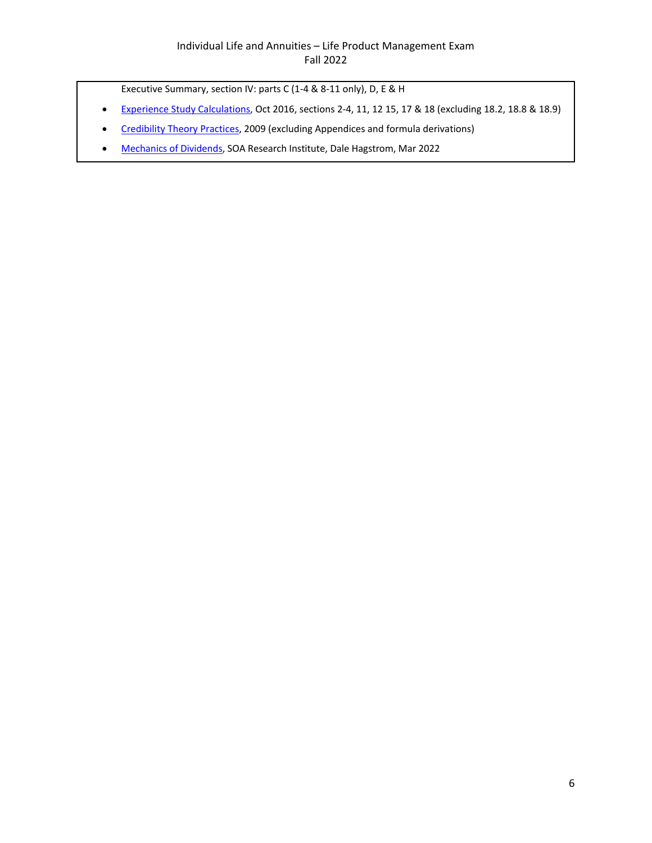Executive Summary, section IV: parts C (1-4 & 8-11 only), D, E & H

- [Experience Study Calculations,](https://www.soa.org/globalassets/assets/Files/Research/experience-study-calculations.pdf) Oct 2016, sections 2-4, 11, 12 15, 17 & 18 (excluding 18.2, 18.8 & 18.9)
- [Credibility Theory Practices,](https://www.soa.org/globalassets/assets/Files/Research/Projects/research-cred-theory-pract.pdf) 2009 (excluding Appendices and formula derivations)
- [Mechanics of Dividends,](https://www.soa.org/globalassets/assets/files/resources/research-report/2022/mechanics-dividends.pdf) SOA Research Institute, Dale Hagstrom, Mar 2022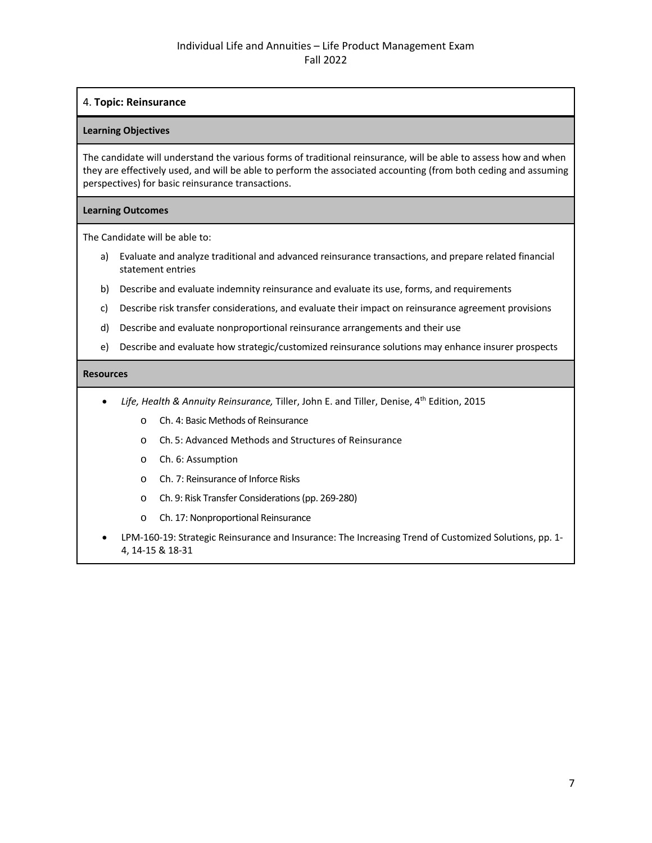# 4. **Topic: Reinsurance**

#### **Learning Objectives**

The candidate will understand the various forms of traditional reinsurance, will be able to assess how and when they are effectively used, and will be able to perform the associated accounting (from both ceding and assuming perspectives) for basic reinsurance transactions.

#### **Learning Outcomes**

The Candidate will be able to:

- a) Evaluate and analyze traditional and advanced reinsurance transactions, and prepare related financial statement entries
- b) Describe and evaluate indemnity reinsurance and evaluate its use, forms, and requirements
- c) Describe risk transfer considerations, and evaluate their impact on reinsurance agreement provisions
- d) Describe and evaluate nonproportional reinsurance arrangements and their use
- e) Describe and evaluate how strategic/customized reinsurance solutions may enhance insurer prospects

- *Life, Health & Annuity Reinsurance,* Tiller, John E. and Tiller, Denise, 4th Edition, 2015
	- o Ch. 4: Basic Methods of Reinsurance
	- o Ch. 5: Advanced Methods and Structures of Reinsurance
	- o Ch. 6: Assumption
	- o Ch. 7: Reinsurance of Inforce Risks
	- o Ch. 9: Risk Transfer Considerations (pp. 269-280)
	- o Ch. 17: Nonproportional Reinsurance
- LPM-160-19: Strategic Reinsurance and Insurance: The Increasing Trend of Customized Solutions, pp. 1- 4, 14-15 & 18-31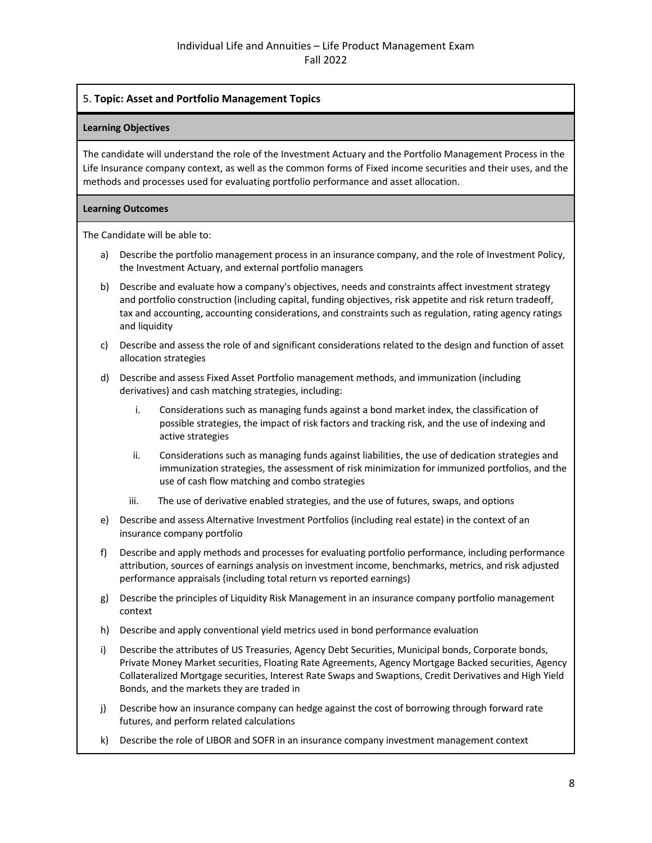# 5. **Topic: Asset and Portfolio Management Topics**

#### **Learning Objectives**

The candidate will understand the role of the Investment Actuary and the Portfolio Management Process in the Life Insurance company context, as well as the common forms of Fixed income securities and their uses, and the methods and processes used for evaluating portfolio performance and asset allocation.

## **Learning Outcomes**

The Candidate will be able to:

- a) Describe the portfolio management process in an insurance company, and the role of Investment Policy, the Investment Actuary, and external portfolio managers
- b) Describe and evaluate how a company's objectives, needs and constraints affect investment strategy and portfolio construction (including capital, funding objectives, risk appetite and risk return tradeoff, tax and accounting, accounting considerations, and constraints such as regulation, rating agency ratings and liquidity
- c) Describe and assess the role of and significant considerations related to the design and function of asset allocation strategies
- d) Describe and assess Fixed Asset Portfolio management methods, and immunization (including derivatives) and cash matching strategies, including:
	- i. Considerations such as managing funds against a bond market index, the classification of possible strategies, the impact of risk factors and tracking risk, and the use of indexing and active strategies
	- ii. Considerations such as managing funds against liabilities, the use of dedication strategies and immunization strategies, the assessment of risk minimization for immunized portfolios, and the use of cash flow matching and combo strategies
	- iii. The use of derivative enabled strategies, and the use of futures, swaps, and options
- e) Describe and assess Alternative Investment Portfolios (including real estate) in the context of an insurance company portfolio
- f) Describe and apply methods and processes for evaluating portfolio performance, including performance attribution, sources of earnings analysis on investment income, benchmarks, metrics, and risk adjusted performance appraisals (including total return vs reported earnings)
- g) Describe the principles of Liquidity Risk Management in an insurance company portfolio management context
- h) Describe and apply conventional yield metrics used in bond performance evaluation
- i) Describe the attributes of US Treasuries, Agency Debt Securities, Municipal bonds, Corporate bonds, Private Money Market securities, Floating Rate Agreements, Agency Mortgage Backed securities, Agency Collateralized Mortgage securities, Interest Rate Swaps and Swaptions, Credit Derivatives and High Yield Bonds, and the markets they are traded in
- j) Describe how an insurance company can hedge against the cost of borrowing through forward rate futures, and perform related calculations
- k) Describe the role of LIBOR and SOFR in an insurance company investment management context